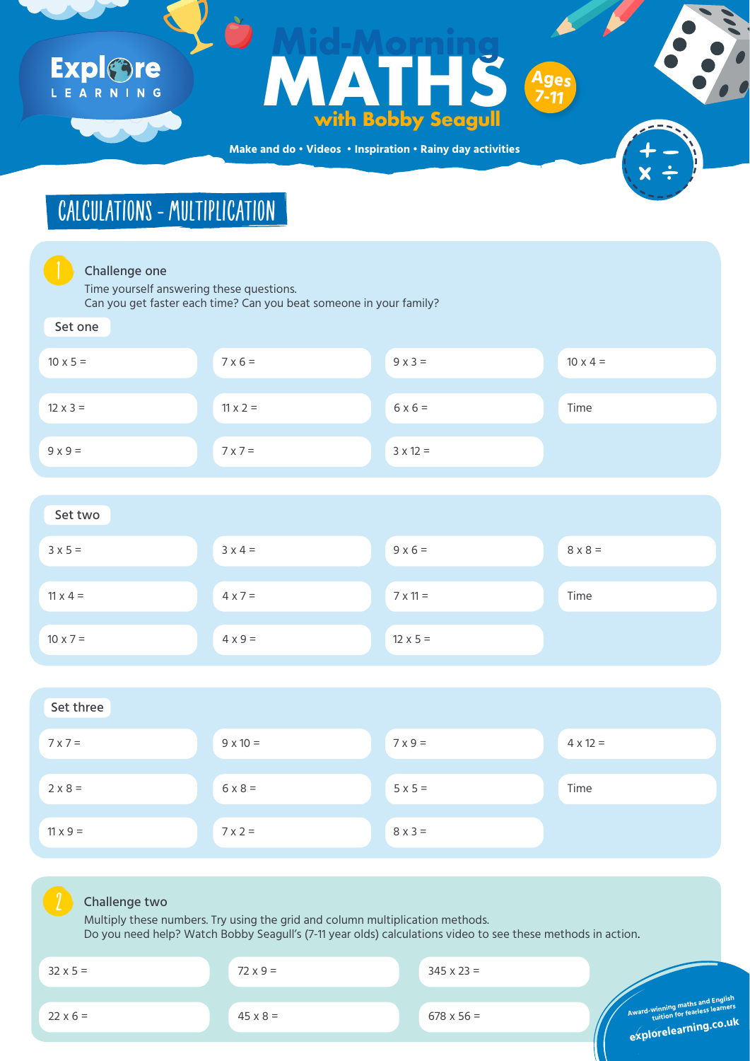**Make and do • Videos • Inspiration • Rainy day activities**



**design views** Time yourself answering these questions. Can you get faster each time? Can you beat someone in your family?

## CALCULATIONS - MULTIPLICATION

#### Set one

| $10 \times 5 =$ | $7 \times 6 =$  | $9x3=$          | $10 \times 4 =$ |
|-----------------|-----------------|-----------------|-----------------|
| $12 \times 3 =$ | $11 \times 2 =$ | $6x6=$          | Time            |
| $9x9=$          | $7x7=$          | $3 \times 12 =$ |                 |



| $3 \times 5 =$  | $3x 4 =$       | $9x6=$          | $8 \times 8 =$ |
|-----------------|----------------|-----------------|----------------|
| $11 \times 4 =$ | $4 \times 7 =$ | $7 \times 11 =$ | Time           |
| $10 \times 7 =$ | $4 \times 9 =$ | $12 \times 5 =$ |                |





### Challenge two

## Expl&re LEARNING

### Maria Harry Control (Maria Harry Control Maria Harry Control Maria Harry Control Maria Harry Control Maria Harry Control Maria Harry Control Maria Harry Control Maria Harry Control Maria Harry Control Maria Harry Control M **MATHS with Bobby Seagull Mid-Morning Ages 7-11**

| $32 \times 5 =$ | $72 \times 9 =$ | $345 \times 23 =$ |                                                          |
|-----------------|-----------------|-------------------|----------------------------------------------------------|
| $22 \times 6 =$ | $45 \times 8 =$ | $678 \times 56 =$ | Award-winning maths and English<br>explorelearning.co.ul |
|                 |                 |                   |                                                          |

Multiply these numbers. Try using the grid and column multiplication methods. Do you need help? Watch Bobby Seagull's (7-11 year olds) calculations video to see these methods in action.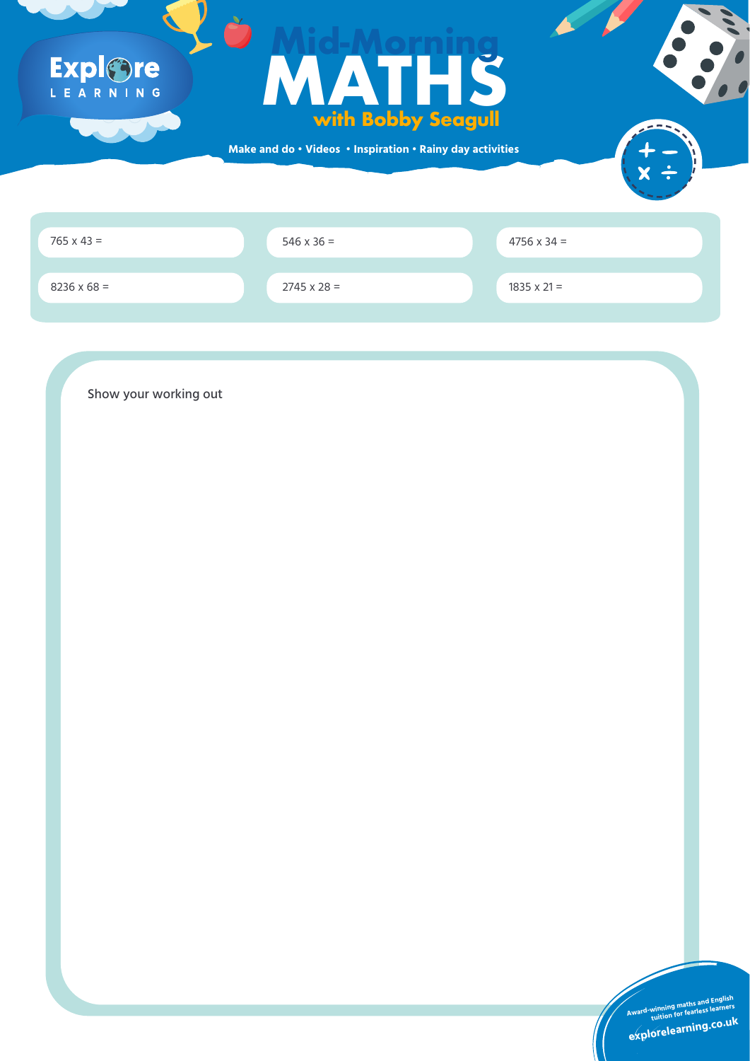**Make and do • Videos • Inspiration • Rainy day activities**



 $546 \times 36 =$ 

 $765 \times 43 =$  4756 x 34 =

 $8236 \times 68 = 2745 \times 28 =$ 

 $1835 \times 21 =$ 

# Explore

## **FORTUAL SERVIS WITH BODDY Seagull**<br>and do · Videos · Inspiration · Rainy day activities **with Bobby Seagull Mid-Morning**

### Show your working out